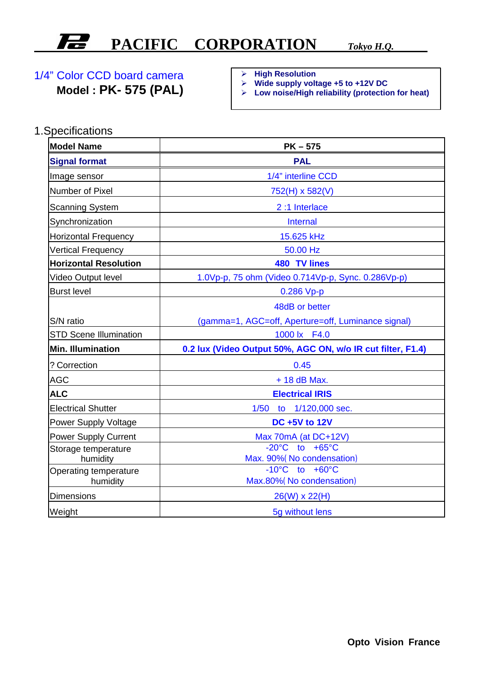## **PACIFIC CORPORATION** *Tokyo H.Q.*

## 1/4" Color CCD board camera

**Model : PK- 575 (PAL)**

ÿ **High Resolution**

- ÿ **Wide supply voltage +5 to +12V DC**
- ÿ **Low noise/High reliability (protection for heat)**

1.Specifications

| <b>Model Name</b>             | $PK-575$                                                    |
|-------------------------------|-------------------------------------------------------------|
| <b>Signal format</b>          | <b>PAL</b>                                                  |
| Image sensor                  | 1/4" interline CCD                                          |
| Number of Pixel               | 752(H) x 582(V)                                             |
| <b>Scanning System</b>        | 2:1 Interlace                                               |
| Synchronization               | <b>Internal</b>                                             |
| <b>Horizontal Frequency</b>   | 15.625 kHz                                                  |
| <b>Vertical Frequency</b>     | 50.00 Hz                                                    |
| <b>Horizontal Resolution</b>  | 480 TV lines                                                |
| Video Output level            | 1.0Vp-p, 75 ohm (Video 0.714Vp-p, Sync. 0.286Vp-p)          |
| <b>Burst level</b>            | $0.286$ Vp-p                                                |
|                               | 48dB or better                                              |
| S/N ratio                     | (gamma=1, AGC=off, Aperture=off, Luminance signal)          |
| <b>STD Scene Illumination</b> | 1000 lx F4.0                                                |
| Min. Illumination             | 0.2 lux (Video Output 50%, AGC ON, w/o IR cut filter, F1.4) |
| ? Correction                  | 0.45                                                        |
| <b>AGC</b>                    | $+18$ dB Max.                                               |
| <b>ALC</b>                    | <b>Electrical IRIS</b>                                      |
| <b>Electrical Shutter</b>     | 1/50<br>1/120,000 sec.<br>to                                |
| <b>Power Supply Voltage</b>   | <b>DC +5V to 12V</b>                                        |
| <b>Power Supply Current</b>   | Max 70mA (at DC+12V)                                        |
| Storage temperature           | $-20^{\circ}$ C to $+65^{\circ}$ C                          |
| humidity                      | Max. 90% (No condensation)                                  |
| Operating temperature         | $-10^{\circ}$ C to $+60^{\circ}$ C                          |
| humidity                      | Max.80% (No condensation)                                   |
| <b>Dimensions</b>             | $26(W) \times 22(H)$                                        |
| Weight                        | 5q without lens                                             |